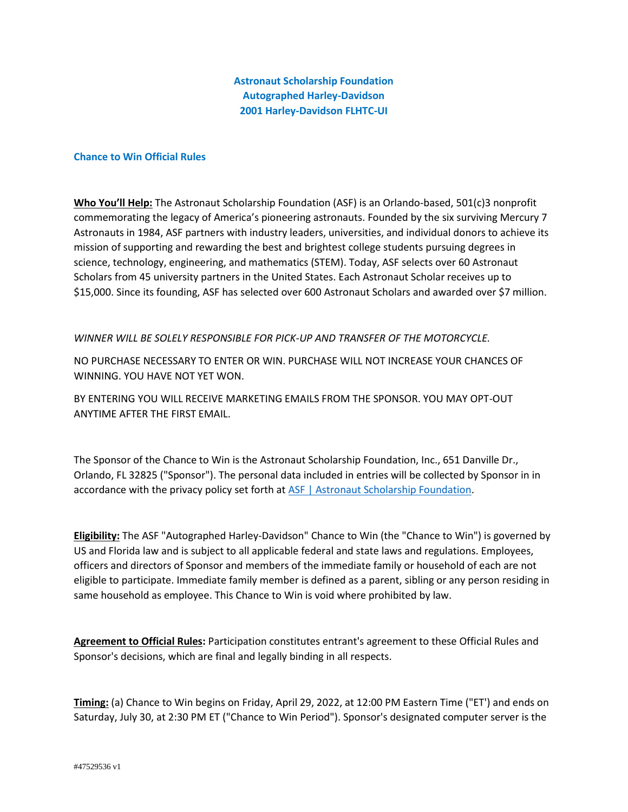**Astronaut Scholarship Foundation Autographed Harley-Davidson 2001 Harley-Davidson FLHTC-UI**

## **Chance to Win Official Rules**

**Who You'll Help:** The Astronaut Scholarship Foundation (ASF) is an Orlando-based, 501(c)3 nonprofit commemorating the legacy of America's pioneering astronauts. Founded by the six surviving Mercury 7 Astronauts in 1984, ASF partners with industry leaders, universities, and individual donors to achieve its mission of supporting and rewarding the best and brightest college students pursuing degrees in science, technology, engineering, and mathematics (STEM). Today, ASF selects over 60 Astronaut Scholars from 45 university partners in the United States. Each Astronaut Scholar receives up to \$15,000. Since its founding, ASF has selected over 600 Astronaut Scholars and awarded over \$7 million.

## *WINNER WILL BE SOLELY RESPONSIBLE FOR PICK-UP AND TRANSFER OF THE MOTORCYCLE.*

NO PURCHASE NECESSARY TO ENTER OR WIN. PURCHASE WILL NOT INCREASE YOUR CHANCES OF WINNING. YOU HAVE NOT YET WON.

BY ENTERING YOU WILL RECEIVE MARKETING EMAILS FROM THE SPONSOR. YOU MAY OPT-OUT ANYTIME AFTER THE FIRST EMAIL.

The Sponsor of the Chance to Win is the Astronaut Scholarship Foundation, Inc., 651 Danville Dr., Orlando, FL 32825 ("Sponsor"). The personal data included in entries will be collected by Sponsor in in accordance with the privacy policy set forth at [ASF | Astronaut Scholarship Foundation.](https://astronautscholarship.org/privacypolicy.html)

**Eligibility:** The ASF "Autographed Harley-Davidson" Chance to Win (the "Chance to Win") is governed by US and Florida law and is subject to all applicable federal and state laws and regulations. Employees, officers and directors of Sponsor and members of the immediate family or household of each are not eligible to participate. Immediate family member is defined as a parent, sibling or any person residing in same household as employee. This Chance to Win is void where prohibited by law.

**Agreement to Official Rules:** Participation constitutes entrant's agreement to these Official Rules and Sponsor's decisions, which are final and legally binding in all respects.

**Timing:** (a) Chance to Win begins on Friday, April 29, 2022, at 12:00 PM Eastern Time ("ET') and ends on Saturday, July 30, at 2:30 PM ET ("Chance to Win Period"). Sponsor's designated computer server is the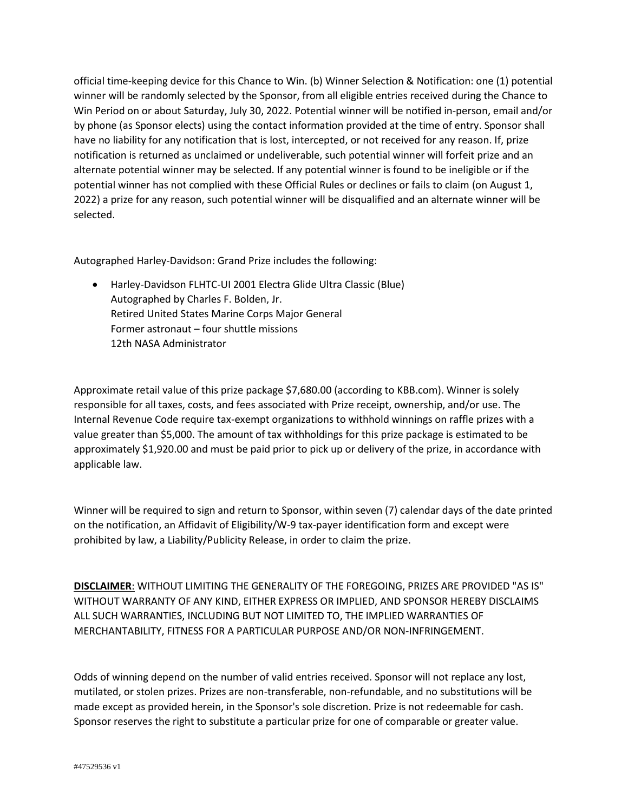official time-keeping device for this Chance to Win. (b) Winner Selection & Notification: one (1) potential winner will be randomly selected by the Sponsor, from all eligible entries received during the Chance to Win Period on or about Saturday, July 30, 2022. Potential winner will be notified in-person, email and/or by phone (as Sponsor elects) using the contact information provided at the time of entry. Sponsor shall have no liability for any notification that is lost, intercepted, or not received for any reason. If, prize notification is returned as unclaimed or undeliverable, such potential winner will forfeit prize and an alternate potential winner may be selected. If any potential winner is found to be ineligible or if the potential winner has not complied with these Official Rules or declines or fails to claim (on August 1, 2022) a prize for any reason, such potential winner will be disqualified and an alternate winner will be selected.

Autographed Harley-Davidson: Grand Prize includes the following:

• Harley-Davidson FLHTC-UI 2001 Electra Glide Ultra Classic (Blue) Autographed by Charles F. Bolden, Jr. Retired United States Marine Corps Major General Former astronaut – four shuttle missions 12th NASA Administrator

Approximate retail value of this prize package \$7,680.00 (according to KBB.com). Winner is solely responsible for all taxes, costs, and fees associated with Prize receipt, ownership, and/or use. The Internal Revenue Code require tax-exempt organizations to withhold winnings on raffle prizes with a value greater than \$5,000. The amount of tax withholdings for this prize package is estimated to be approximately \$1,920.00 and must be paid prior to pick up or delivery of the prize, in accordance with applicable law.

Winner will be required to sign and return to Sponsor, within seven (7) calendar days of the date printed on the notification, an Affidavit of Eligibility/W-9 tax-payer identification form and except were prohibited by law, a Liability/Publicity Release, in order to claim the prize.

**DISCLAIMER**: WITHOUT LIMITING THE GENERALITY OF THE FOREGOING, PRIZES ARE PROVIDED "AS IS" WITHOUT WARRANTY OF ANY KIND, EITHER EXPRESS OR IMPLIED, AND SPONSOR HEREBY DISCLAIMS ALL SUCH WARRANTIES, INCLUDING BUT NOT LIMITED TO, THE IMPLIED WARRANTIES OF MERCHANTABILITY, FITNESS FOR A PARTICULAR PURPOSE AND/OR NON-INFRINGEMENT.

Odds of winning depend on the number of valid entries received. Sponsor will not replace any lost, mutilated, or stolen prizes. Prizes are non-transferable, non-refundable, and no substitutions will be made except as provided herein, in the Sponsor's sole discretion. Prize is not redeemable for cash. Sponsor reserves the right to substitute a particular prize for one of comparable or greater value.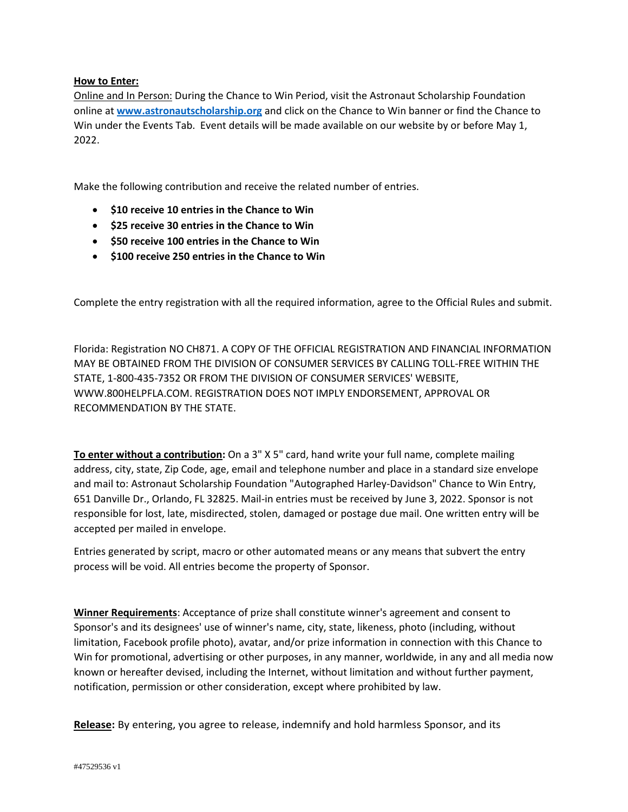## **How to Enter:**

Online and In Person: During the Chance to Win Period, visit the Astronaut Scholarship Foundation online at **[www.astronautscholarship.org](file:///C:/Users/scole/AppData/Local/Microsoft/Windows/INetCache/Content.Outlook/9BPITD35/www.astronautscholarship.org)** and click on the Chance to Win banner or find the Chance to Win under the Events Tab. Event details will be made available on our website by or before May 1, 2022.

Make the following contribution and receive the related number of entries.

- **\$10 receive 10 entries in the Chance to Win**
- **\$25 receive 30 entries in the Chance to Win**
- **\$50 receive 100 entries in the Chance to Win**
- **\$100 receive 250 entries in the Chance to Win**

Complete the entry registration with all the required information, agree to the Official Rules and submit.

Florida: Registration NO CH871. A COPY OF THE OFFICIAL REGISTRATION AND FINANCIAL INFORMATION MAY BE OBTAINED FROM THE DIVISION OF CONSUMER SERVICES BY CALLING TOLL-FREE WITHIN THE STATE, 1-800-435-7352 OR FROM THE DIVISION OF CONSUMER SERVICES' WEBSITE, WWW.800HELPFLA.COM. REGISTRATION DOES NOT IMPLY ENDORSEMENT, APPROVAL OR RECOMMENDATION BY THE STATE.

**To enter without a contribution:** On a 3" X 5" card, hand write your full name, complete mailing address, city, state, Zip Code, age, email and telephone number and place in a standard size envelope and mail to: Astronaut Scholarship Foundation "Autographed Harley-Davidson" Chance to Win Entry, 651 Danville Dr., Orlando, FL 32825. Mail-in entries must be received by June 3, 2022. Sponsor is not responsible for lost, late, misdirected, stolen, damaged or postage due mail. One written entry will be accepted per mailed in envelope.

Entries generated by script, macro or other automated means or any means that subvert the entry process will be void. All entries become the property of Sponsor.

**Winner Requirements**: Acceptance of prize shall constitute winner's agreement and consent to Sponsor's and its designees' use of winner's name, city, state, likeness, photo (including, without limitation, Facebook profile photo), avatar, and/or prize information in connection with this Chance to Win for promotional, advertising or other purposes, in any manner, worldwide, in any and all media now known or hereafter devised, including the Internet, without limitation and without further payment, notification, permission or other consideration, except where prohibited by law.

**Release:** By entering, you agree to release, indemnify and hold harmless Sponsor, and its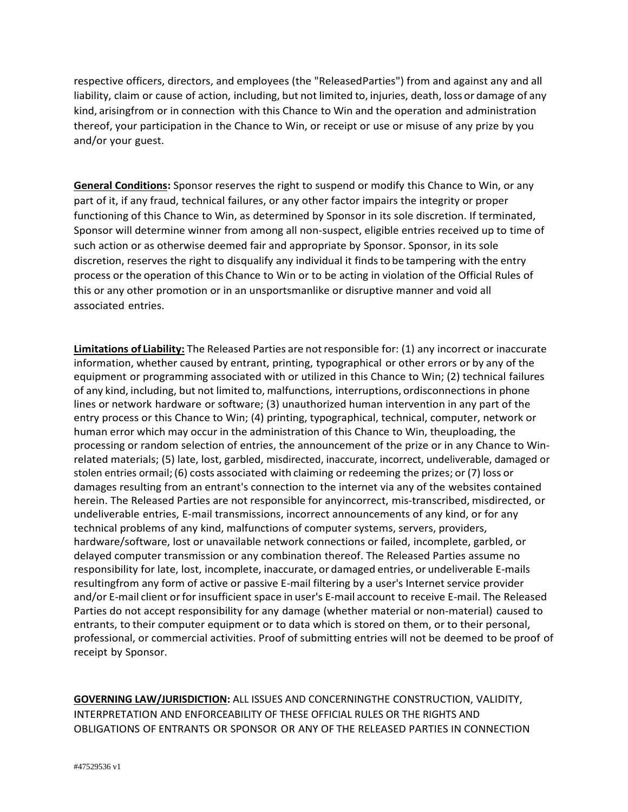respective officers, directors, and employees (the "ReleasedParties") from and against any and all liability, claim or cause of action, including, but not limited to, injuries, death, loss or damage of any kind, arisingfrom or in connection with this Chance to Win and the operation and administration thereof, your participation in the Chance to Win, or receipt or use or misuse of any prize by you and/or your guest.

**General Conditions:** Sponsor reserves the right to suspend or modify this Chance to Win, or any part of it, if any fraud, technical failures, or any other factor impairs the integrity or proper functioning of this Chance to Win, as determined by Sponsor in its sole discretion. If terminated, Sponsor will determine winner from among all non-suspect, eligible entries received up to time of such action or as otherwise deemed fair and appropriate by Sponsor. Sponsor, in its sole discretion, reserves the right to disqualify any individual it findsto be tampering with the entry process or the operation of this Chance to Win or to be acting in violation of the Official Rules of this or any other promotion or in an unsportsmanlike or disruptive manner and void all associated entries.

**Limitations of Liability:** The Released Parties are notresponsible for: (1) any incorrect or inaccurate information, whether caused by entrant, printing, typographical or other errors or by any of the equipment or programming associated with or utilized in this Chance to Win; (2) technical failures of any kind, including, but not limited to, malfunctions, interruptions, ordisconnections in phone lines or network hardware or software; (3) unauthorized human intervention in any part of the entry process or this Chance to Win; (4) printing, typographical, technical, computer, network or human error which may occur in the administration of this Chance to Win, theuploading, the processing or random selection of entries, the announcement of the prize or in any Chance to Winrelated materials; (5) late, lost, garbled, misdirected, inaccurate, incorrect, undeliverable, damaged or stolen entries ormail;(6) costs associated with claiming or redeeming the prizes; or (7) loss or damages resulting from an entrant's connection to the internet via any of the websites contained herein. The Released Parties are not responsible for anyincorrect, mis-transcribed, misdirected, or undeliverable entries, E-mail transmissions, incorrect announcements of any kind, or for any technical problems of any kind, malfunctions of computer systems, servers, providers, hardware/software, lost or unavailable network connections or failed, incomplete, garbled, or delayed computer transmission or any combination thereof. The Released Parties assume no responsibility for late, lost, incomplete, inaccurate, or damaged entries, or undeliverable E-mails resultingfrom any form of active or passive E-mail filtering by a user's Internet service provider and/or E-mail client orfor insufficient space in user's E-mail account to receive E-mail. The Released Parties do not accept responsibility for any damage (whether material or non-material) caused to entrants, to their computer equipment or to data which is stored on them, or to their personal, professional, or commercial activities. Proof of submitting entries will not be deemed to be proof of receipt by Sponsor.

**GOVERNING LAW/JURISDICTION:** ALL ISSUES AND CONCERNINGTHE CONSTRUCTION, VALIDITY, INTERPRETATION AND ENFORCEABILITY OF THESE OFFICIAL RULES OR THE RIGHTS AND OBLIGATIONS OF ENTRANTS OR SPONSOR OR ANY OF THE RELEASED PARTIES IN CONNECTION